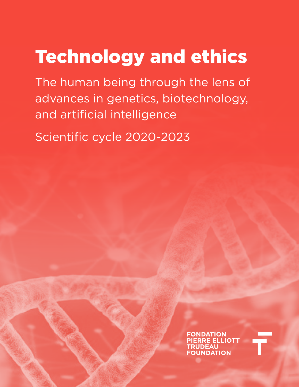## Technology and ethics

The human being through the lens of advances in genetics, biotechnology, and artificial intelligence

Scientific cycle 2020-2023

**FONDATION ERRE ELLIOTT RUDEAU FOUNDATION**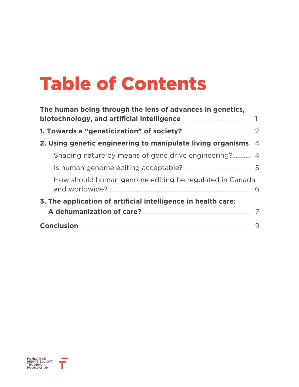## Table of Contents

| The human being through the lens of advances in genetics,                |    |
|--------------------------------------------------------------------------|----|
| 1. Towards a "geneticization" of society?                                | 2  |
| 2. Using genetic engineering to manipulate living organisms. 4           |    |
| Shaping nature by means of gene drive engineering?                       |    |
| Is human genome editing acceptable?                                      | -5 |
| How should human genome editing be regulated in Canada<br>and worldwide? | 6  |
| 3. The application of artificial intelligence in health care:            |    |
| A dehumanization of care?                                                |    |
| <b>Conclusion</b>                                                        | 9  |

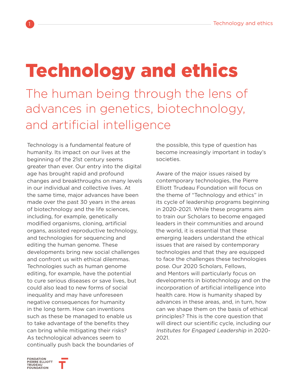# <span id="page-2-0"></span>Technology and ethics

The human being through the lens of advances in genetics, biotechnology, and artificial intelligence

Technology is a fundamental feature of humanity. Its impact on our lives at the beginning of the 21st century seems greater than ever. Our entry into the digital age has brought rapid and profound changes and breakthroughs on many levels in our individual and collective lives. At the same time, major advances have been made over the past 30 years in the areas of biotechnology and the life sciences, including, for example, genetically modified organisms, cloning, artificial organs, assisted reproductive technology, and technologies for sequencing and editing the human genome. These developments bring new social challenges and confront us with ethical dilemmas. Technologies such as human genome editing, for example, have the potential to cure serious diseases or save lives, but could also lead to new forms of social inequality and may have unforeseen negative consequences for humanity in the long term. How can inventions such as these be managed to enable us to take advantage of the benefits they can bring while mitigating their risks? As technological advances seem to continually push back the boundaries of

the possible, this type of question has become increasingly important in today's societies.

Aware of the major issues raised by contemporary technologies, the Pierre Elliott Trudeau Foundation will focus on the theme of "Technology and ethics" in its cycle of leadership programs beginning in 2020-2021. While these programs aim to train our Scholars to become engaged leaders in their communities and around the world, it is essential that these emerging leaders understand the ethical issues that are raised by contemporary technologies and that they are equipped to face the challenges these technologies pose. Our 2020 Scholars, Fellows, and Mentors will particularly focus on developments in biotechnology and on the incorporation of artificial intelligence into health care. How is humanity shaped by advances in these areas, and, in turn, how can we shape them on the basis of ethical principles? This is the core question that will direct our scientific cycle, including our Institutes for Engaged Leadership in 2020- 2021.

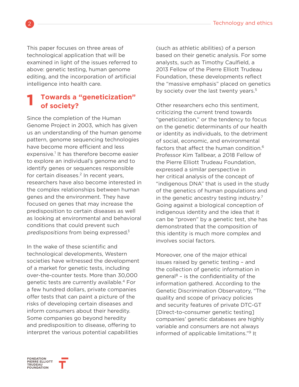This paper focuses on three areas of technological application that will be examined in light of the issues referred to above: genetic testing, human genome editing, and the incorporation of artificial intelligence into health care.

#### **Towards a "geneticization" of society? 1**

Since the completion of the Human Genome Project in 2003, which has given us an understanding of the human genome pattern, genome sequencing technologies have become more efficient and less expensive.<sup>1</sup> It has therefore become easier to explore an individual's genome and to identify genes or sequences responsible for certain diseases. $<sup>2</sup>$  In recent years,</sup> researchers have also become interested in the complex relationships between human genes and the environment. They have focused on genes that may increase the predisposition to certain diseases as well as looking at environmental and behavioral conditions that could prevent such predispositions from being expressed. $3$ 

In the wake of these scientific and technological developments, Western societies have witnessed the development of a market for genetic tests, including over-the-counter tests. More than 30,000 genetic tests are currently available.4 For a few hundred dollars, private companies offer tests that can paint a picture of the risks of developing certain diseases and inform consumers about their heredity. Some companies go beyond heredity and predisposition to disease, offering to interpret the various potential capabilities

(such as athletic abilities) of a person based on their genetic analysis. For some analysts, such as Timothy Caulfield, a 2013 Fellow of the Pierre Elliott Trudeau Foundation, these developments reflect the "massive emphasis" placed on genetics by society over the last twenty years.<sup>5</sup>

Other researchers echo this sentiment, criticizing the current trend towards "geneticization," or the tendency to focus on the genetic determinants of our health or identity as individuals, to the detriment of social, economic, and environmental factors that affect the human condition.<sup>6</sup> Professor Kim Tallbear, a 2018 Fellow of the Pierre Elliott Trudeau Foundation, expressed a similar perspective in her critical analysis of the concept of "indigenous DNA" that is used in the study of the genetics of human populations and in the genetic ancestry testing industry.<sup>7</sup> Going against a biological conception of indigenous identity and the idea that it can be "proven" by a genetic test, she has demonstrated that the composition of this identity is much more complex and involves social factors.

Moreover, one of the major ethical issues raised by genetic testing – and the collection of genetic information in general<sup>8</sup> – is the confidentiality of the information gathered. According to the Genetic Discrimination Observatory, "The quality and scope of privacy policies and security features of private DTC-GT [Direct-to-consumer genetic testing] companies' genetic databases are highly variable and consumers are not always informed of applicable limitations."9 It

<span id="page-3-0"></span>

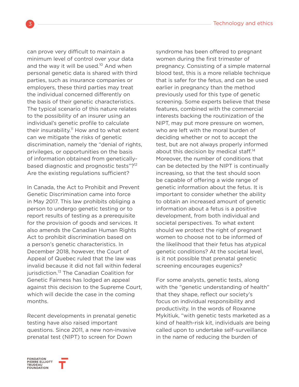can prove very difficult to maintain a minimum level of control over your data and the way it will be used.<sup>10</sup> And when personal genetic data is shared with third parties, such as insurance companies or employers, these third parties may treat the individual concerned differently on the basis of their genetic characteristics. The typical scenario of this nature relates to the possibility of an insurer using an individual's genetic profile to calculate their insurability.<sup>11</sup> How and to what extent can we mitigate the risks of genetic discrimination, namely the "denial of rights, privileges, or opportunities on the basis of information obtained from geneticallybased diagnostic and prognostic tests"?<sup>12</sup> Are the existing regulations sufficient?

In Canada, the Act to Prohibit and Prevent Genetic Discrimination came into force in May 2017. This law prohibits obliging a person to undergo genetic testing or to report results of testing as a prerequisite for the provision of goods and services. It also amends the Canadian Human Rights Act to prohibit discrimination based on a person's genetic characteristics. In December 2018, however, the Court of Appeal of Quebec ruled that the law was invalid because it did not fall within federal jurisdiction.<sup>13</sup> The Canadian Coalition for Genetic Fairness has lodged an appeal against this decision to the Supreme Court, which will decide the case in the coming months.

Recent developments in prenatal genetic testing have also raised important questions. Since 2011, a new non-invasive prenatal test (NIPT) to screen for Down

syndrome has been offered to pregnant women during the first trimester of pregnancy. Consisting of a simple maternal blood test, this is a more reliable technique that is safer for the fetus, and can be used earlier in pregnancy than the method previously used for this type of genetic screening. Some experts believe that these features, combined with the commercial interests backing the routinization of the NIPT, may put more pressure on women, who are left with the moral burden of deciding whether or not to accept the test, but are not always properly informed about this decision by medical staff.<sup>14</sup> Moreover, the number of conditions that can be detected by the NIPT is continually increasing, so that the test should soon be capable of offering a wide range of genetic information about the fetus. It is important to consider whether the ability to obtain an increased amount of genetic information about a fetus is a positive development, from both individual and societal perspectives. To what extent should we protect the right of pregnant women to choose not to be informed of the likelihood that their fetus has atypical genetic conditions? At the societal level, is it not possible that prenatal genetic screening encourages eugenics?

For some analysts, genetic tests, along with the "genetic understanding of health" that they shape, reflect our society's focus on individual responsibility and productivity. In the words of Roxanne Mykitiuk, "with genetic tests marketed as a kind of health-risk kit, individuals are being called upon to undertake self-surveillance in the name of reducing the burden of

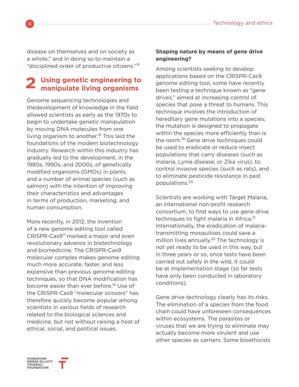<span id="page-5-0"></span>disease on themselves and on society as a whole," and in doing so to maintain a "disciplined order of productive citizens."15

#### **Using genetic engineering to manipulate living organisms 2**

Genome sequencing technologies and thedevelopment of knowledge in the field allowed scientists as early as the 1970s to begin to undertake genetic manipulation by moving DNA molecules from one living organism to another.<sup>16</sup> This laid the foundations of the modern biotechnology industry. Research within this industry has gradually led to the development, in the 1980s, 1990s, and 2000s, of genetically modified organisms (GMOs) in plants and a number of animal species (such as salmon) with the intention of improving their characteristics and advantages in terms of production, marketing, and human consumption.

More recently, in 2012, the invention of a new genome editing tool called CRISPR-Cas917 marked a major and even revolutionary advance in biotechnology and biomedicine. The CRISPR-Cas9 molecular complex makes genome editing much more accurate, faster, and less expensive than previous genome editing techniques, so that DNA modification has become easier than ever before.<sup>18</sup> Use of the CRISPR-Cas9 "molecular scissors" has therefore quickly become popular among scientists in various fields of research related to the biological sciences and medicine, but not without raising a host of ethical, social, and political issues.

#### **Shaping nature by means of gene drive engineering?**

Among scientists seeking to develop applications based on the CRISPR-Cas9 genome editing tool, some have recently been testing a technique known as "gene drives," aimed at increasing control of species that pose a threat to humans. This technique involves the introduction of hereditary gene mutations into a species; the mutation is designed to propagate within the species more efficiently than is the norm.<sup>19</sup> Gene drive techniques could be used to eradicate or reduce insect populations that carry diseases (such as malaria, Lyme disease, or Zika virus), to control invasive species (such as rats), and to eliminate pesticide resistance in pest populations.<sup>20</sup>

Scientists are working with Target Malaria, an international non-profit research consortium, to find ways to use gene drive techniques to fight malaria in Africa.<sup>21</sup> Internationally, the eradication of malariatransmitting mosquitoes could save a million lives annually.<sup>22</sup> The technology is not yet ready to be used in this way, but in three years or so, once tests have been carried out safely in the wild, it could be at implementation stage (so far tests have only been conducted in laboratory conditions).

Gene drive technology clearly has its risks. The elimination of a species from the food chain could have unforeseen consequences within ecosystems. The parasites or viruses that we are trying to eliminate may actually become more virulent and use other species as carriers. Some bioethicists

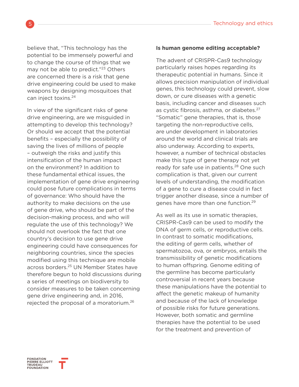<span id="page-6-0"></span>believe that, "This technology has the potential to be immensely powerful and to change the course of things that we may not be able to predict."<sup>23</sup> Others are concerned there is a risk that gene drive engineering could be used to make weapons by designing mosquitoes that can inject toxins.<sup>24</sup>

In view of the significant risks of gene drive engineering, are we misguided in attempting to develop this technology? Or should we accept that the potential benefits – especially the possibility of saving the lives of millions of people – outweigh the risks and justify this intensification of the human impact on the environment? In addition to these fundamental ethical issues, the implementation of gene drive engineering could pose future complications in terms of governance: Who should have the authority to make decisions on the use of gene drive, who should be part of the decision-making process, and who will regulate the use of this technology? We should not overlook the fact that one country's decision to use gene drive engineering could have consequences for neighboring countries, since the species modified using this technique are mobile across borders.<sup>25</sup> UN Member States have therefore begun to hold discussions during a series of meetings on biodiversity to consider measures to be taken concerning gene drive engineering and, in 2016, rejected the proposal of a moratorium.<sup>26</sup>

#### **Is human genome editing acceptable?**

The advent of CRISPR-Cas9 technology particularly raises hopes regarding its therapeutic potential in humans. Since it allows precision manipulation of individual genes, this technology could prevent, slow down, or cure diseases with a genetic basis, including cancer and diseases such as cystic fibrosis, asthma, or diabetes.<sup>27</sup> "Somatic" gene therapies, that is, those targeting the non-reproductive cells, are under development in laboratories around the world and clinical trials are also underway. According to experts, however, a number of technical obstacles make this type of gene therapy not yet ready for safe use in patients.<sup>28</sup> One such complication is that, given our current levels of understanding, the modification of a gene to cure a disease could in fact trigger another disease, since a number of genes have more than one function.<sup>29</sup>

As well as its use in somatic therapies, CRISPR-Cas9 can be used to modify the DNA of germ cells, or reproductive cells. In contrast to somatic modifications, the editing of germ cells, whether of spermatozoa, ova, or embryos, entails the transmissibility of genetic modifications to human offspring. Genome editing of the germline has become particularly controversial in recent years because these manipulations have the potential to affect the genetic makeup of humanity and because of the lack of knowledge of possible risks for future generations. However, both somatic and germline therapies have the potential to be used for the treatment and prevention of

ONDATION PIERRE ELLIOTT<br>TRUDEAU<br>FOUNDATION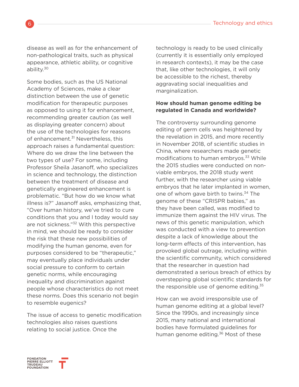<span id="page-7-0"></span>disease as well as for the enhancement of non-pathological traits, such as physical appearance, athletic ability, or cognitive ability.<sup>30</sup>

Some bodies, such as the US National Academy of Sciences, make a clear distinction between the use of genetic modification for therapeutic purposes as opposed to using it for enhancement, recommending greater caution (as well as displaying greater concern) about the use of the technologies for reasons of enhancement.<sup>31</sup> Nevertheless, this approach raises a fundamental question: Where do we draw the line between the two types of use? For some, including Professor Sheila Jasanoff, who specializes in science and technology, the distinction between the treatment of disease and genetically engineered enhancement is problematic. "But how do we know what illness is?" Jasanoff asks, emphasizing that, "Over human history, we've tried to cure conditions that you and I today would say are not sickness."32 With this perspective in mind, we should be ready to consider the risk that these new possibilities of modifying the human genome, even for purposes considered to be "therapeutic," may eventually place individuals under social pressure to conform to certain genetic norms, while encouraging inequality and discrimination against people whose characteristics do not meet these norms. Does this scenario not begin to resemble eugenics?

The issue of access to genetic modification technologies also raises questions relating to social justice. Once the

technology is ready to be used clinically (currently it is essentially only employed in research contexts), it may be the case that, like other technologies, it will only be accessible to the richest, thereby aggravating social inequalities and marginalization.

#### **How should human genome editing be regulated in Canada and worldwide?**

The controversy surrounding genome editing of germ cells was heightened by the revelation in 2015, and more recently in November 2018, of scientific studies in China, where researchers made genetic modifications to human embryos.<sup>33</sup> While the 2015 studies were conducted on nonviable embryos, the 2018 study went further, with the researcher using viable embryos that he later implanted in women, one of whom gave birth to twins.<sup>34</sup> The genome of these "CRISPR babies," as they have been called, was modified to immunize them against the HIV virus. The news of this genetic manipulation, which was conducted with a view to prevention despite a lack of knowledge about the long-term effects of this intervention, has provoked global outrage, including within the scientific community, which considered that the researcher in question had demonstrated a serious breach of ethics by overstepping global scientific standards for the responsible use of genome editing. $35$ 

How can we avoid irresponsible use of human genome editing at a global level? Since the 1990s, and increasingly since 2015, many national and international bodies have formulated guidelines for human genome editing.<sup>36</sup> Most of these

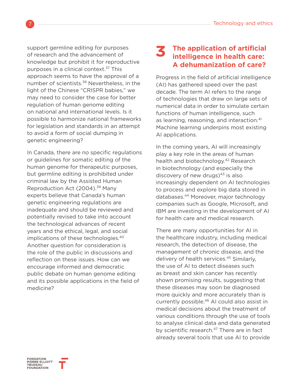<span id="page-8-0"></span>support germline editing for purposes of research and the advancement of knowledge but prohibit it for reproductive purposes in a clinical context.<sup>37</sup> This approach seems to have the approval of a number of scientists.<sup>38</sup> Nevertheless, in the light of the Chinese "CRISPR babies," we may need to consider the case for better regulation of human genome editing on national and international levels. Is it possible to harmonize national frameworks for legislation and standards in an attempt to avoid a form of social dumping in genetic engineering?

In Canada, there are no specific regulations or guidelines for somatic editing of the human genome for therapeutic purposes, but germline editing is prohibited under criminal law by the Assisted Human Reproduction Act (2004).39 Many experts believe that Canada's human genetic engineering regulations are inadequate and should be reviewed and potentially revised to take into account the technological advances of recent years and the ethical, legal, and social implications of these technologies.<sup>40</sup> Another question for consideration is the role of the public in discussions and reflection on these issues. How can we encourage informed and democratic public debate on human genome editing and its possible applications in the field of medicine?

#### **The application of artificial intelligence in health care: A dehumanization of care? 3**

Progress in the field of artificial intelligence (AI) has gathered speed over the past decade. The term AI refers to the range of technologies that draw on large sets of numerical data in order to simulate certain functions of human intelligence, such as learning, reasoning, and interaction.<sup>41</sup> Machine learning underpins most existing AI applications.

In the coming years, AI will increasingly play a key role in the areas of human health and biotechnology.<sup>42</sup> Research in biotechnology (and especially the discovery of new drugs) $43$  is also increasingly dependent on AI technologies to process and explore big data stored in databases.44 Moreover, major technology companies such as Google, Microsoft, and IBM are investing in the development of AI for health care and medical research.

There are many opportunities for AI in the healthcare industry, including medical research, the detection of disease, the management of chronic disease, and the delivery of health services.<sup>45</sup> Similarly, the use of AI to detect diseases such as breast and skin cancer has recently shown promising results, suggesting that these diseases may soon be diagnosed more quickly and more accurately than is currently possible.46 AI could also assist in medical decisions about the treatment of various conditions through the use of tools to analyse clinical data and data generated by scientific research.<sup>47</sup> There are in fact already several tools that use AI to provide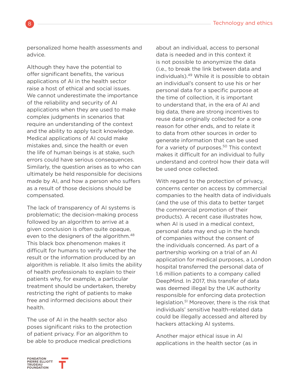personalized home health assessments and advice.

Although they have the potential to offer significant benefits, the various applications of AI in the health sector raise a host of ethical and social issues. We cannot underestimate the importance of the reliability and security of AI applications when they are used to make complex judgments in scenarios that require an understanding of the context and the ability to apply tacit knowledge. Medical applications of AI could make mistakes and, since the health or even the life of human beings is at stake, such errors could have serious consequences. Similarly, the question arises as to who can ultimately be held responsible for decisions made by AI, and how a person who suffers as a result of those decisions should be compensated.

The lack of transparency of AI systems is problematic; the decision-making process followed by an algorithm to arrive at a given conclusion is often quite opaque, even to the designers of the algorithm.<sup>48</sup> This black box phenomenon makes it difficult for humans to verify whether the result or the information produced by an algorithm is reliable. It also limits the ability of health professionals to explain to their patients why, for example, a particular treatment should be undertaken, thereby restricting the right of patients to make free and informed decisions about their health.

The use of AI in the health sector also poses significant risks to the protection of patient privacy. For an algorithm to be able to produce medical predictions

about an individual, access to personal data is needed and in this context it is not possible to anonymize the data (i.e., to break the link between data and individuals).49 While it is possible to obtain an individual's consent to use his or her personal data for a specific purpose at the time of collection, it is important to understand that, in the era of AI and big data, there are strong incentives to reuse data originally collected for a one reason for other ends, and to relate it to data from other sources in order to generate information that can be used for a variety of purposes.<sup>50</sup> This context makes it difficult for an individual to fully understand and control how their data will be used once collected.

With regard to the protection of privacy, concerns center on access by commercial companies to the health data of individuals (and the use of this data to better target the commercial promotion of their products). A recent case illustrates how, when AI is used in a medical context, personal data may end up in the hands of companies without the consent of the individuals concerned. As part of a partnership working on a trial of an AI application for medical purposes, a London hospital transferred the personal data of 1.6 million patients to a company called DeepMind. In 2017, this transfer of data was deemed illegal by the UK authority responsible for enforcing data protection legislation.51 Moreover, there is the risk that individuals' sensitive health-related data could be illegally accessed and altered by hackers attacking AI systems.

Another major ethical issue in AI applications in the health sector (as in

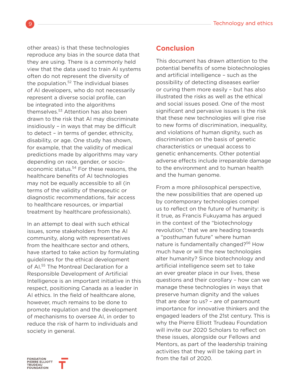<span id="page-10-0"></span>other areas) is that these technologies reproduce any bias in the source data that they are using. There is a commonly held view that the data used to train AI systems often do not represent the diversity of the population.<sup>52</sup> The individual biases of AI developers, who do not necessarily represent a diverse social profile, can be integrated into the algorithms themselves.<sup>53</sup> Attention has also been drawn to the risk that AI may discriminate insidiously – in ways that may be difficult to detect – in terms of gender, ethnicity, disability, or age. One study has shown, for example, that the validity of medical predictions made by algorithms may vary depending on race, gender, or socioeconomic status.<sup>54</sup> For these reasons, the healthcare benefits of AI technologies may not be equally accessible to all (in terms of the validity of therapeutic or diagnostic recommendations, fair access to healthcare resources, or impartial treatment by healthcare professionals).

In an attempt to deal with such ethical issues, some stakeholders from the AI community, along with representatives from the healthcare sector and others, have started to take action by formulating guidelines for the ethical development of AI.55 The Montreal Declaration for a Responsible Development of Artificial Intelligence is an important initiative in this respect, positioning Canada as a leader in AI ethics. In the field of healthcare alone, however, much remains to be done to promote regulation and the development of mechanisms to oversee AI, in order to reduce the risk of harm to individuals and society in general.

#### **Conclusion**

This document has drawn attention to the potential benefits of some biotechnologies and artificial intelligence – such as the possibility of detecting diseases earlier or curing them more easily – but has also illustrated the risks as well as the ethical and social issues posed. One of the most significant and pervasive issues is the risk that these new technologies will give rise to new forms of discrimination, inequality, and violations of human dignity, such as discrimination on the basis of genetic characteristics or unequal access to genetic enhancements. Other potential adverse effects include irreparable damage to the environment and to human health and the human genome.

From a more philosophical perspective, the new possibilities that are opened up by contemporary technologies compel us to reflect on the future of humanity: is it true, as Francis Fukuyama has argued in the context of the "biotechnology revolution," that we are heading towards a "posthuman future" where human nature is fundamentally changed?<sup>56</sup> How much have or will the new technologies alter humanity? Since biotechnology and artificial intelligence seem set to take an ever greater place in our lives, these questions and their corollary – how can we manage these technologies in ways that preserve human dignity and the values that are dear to us? – are of paramount importance for innovative thinkers and the engaged leaders of the 21st century. This is why the Pierre Elliott Trudeau Foundation will invite our 2020 Scholars to reflect on these issues, alongside our Fellows and Mentors, as part of the leadership training activities that they will be taking part in from the fall of 2020.



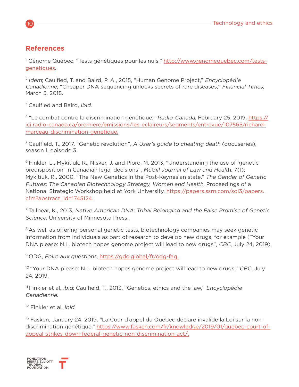#### **References**

<sup>1</sup> Génome Québec, "Tests génétiques pour les nuls," [http://www.genomequebec.com/tests](http://www.genomequebec.com/tests-genetiques)[genetiques.](http://www.genomequebec.com/tests-genetiques)

<sup>2</sup> Idem; Caulfied. T. and Baird, P. A., 2015, "Human Genome Project," Encyclopédie Canadienne; "Cheaper DNA sequencing unlocks secrets of rare diseases," Financial Times, March 5, 2018.

<sup>3</sup> Caulfied and Baird, *ibid*.

<sup>4</sup> "Le combat contre la discrimination génétique," Radio-Canada, February 25, 2019, [https://](https://ici.radio-canada.ca/premiere/emissions/les-eclaireurs/segments/entrevue/107565/richard-marce) [ici.radio-canada.ca/premiere/emissions/les-eclaireurs/segments/entrevue/107565/richard](https://ici.radio-canada.ca/premiere/emissions/les-eclaireurs/segments/entrevue/107565/richard-marce)[marceau-discrimination-genetique.](https://ici.radio-canada.ca/premiere/emissions/les-eclaireurs/segments/entrevue/107565/richard-marce)

<sup>5</sup> Caulfield, T., 2017, "Genetic revolution", A User's quide to cheating death (docuseries), season 1, episode 3.

<sup>6</sup> Finkler, L., Mykitiuk, R., Nisker, J. and Pioro, M. 2013, "Understanding the use of 'genetic predisposition' in Canadian legal decisions", McGill Journal of Law and Health, 7(1); Mykitiuk, R., 2000, "The New Genetics in the Post-Keynesian state," The Gender of Genetic Futures: The Canadian Biotechnology Strategy, Women and Health, Proceedings of a National Strategic Workshop held at York University, [https://papers.ssrn.com/sol3/papers.](https://papers.ssrn.com/sol3/papers.cfm?abstract_id=1745124.) [cfm?abstract\\_id=1745124.](https://papers.ssrn.com/sol3/papers.cfm?abstract_id=1745124.)

<sup>7</sup>Tallbear, K., 2013, Native American DNA: Tribal Belonging and the False Promise of Genetic Science, University of Minnesota Press.

<sup>8</sup> As well as offering personal genetic tests, biotechnology companies may seek genetic information from individuals as part of research to develop new drugs, for example ("Your DNA please: N.L. biotech hopes genome project will lead to new drugs", CBC, July 24, 2019).

9 ODG, Foire aux questions, <https://gdo.global/fr/odg-faq.>

<sup>10</sup> "Your DNA please: N.L. biotech hopes genome project will lead to new drugs," CBC, July 24, 2019.

<sup>11</sup> Finkler et al, *ibid*; Caulfield, T., 2013, "Genetics, ethics and the law," *Encyclopédie* Canadienne.

<sup>12</sup> Finkler et al, *ibid*.

<sup>13</sup> Fasken, January 24, 2019, "La Cour d'appel du Québec déclare invalide la Loi sur la nondiscrimination génétique," [https://www.fasken.com/fr/knowledge/2019/01/quebec-court-of](https://www.fasken.com/fr/knowledge/2019/01/quebec-court-of-appeal-strikes-down-federal-genetic-non-)[appeal-strikes-down-federal-genetic-non-discrimination-act/.](https://www.fasken.com/fr/knowledge/2019/01/quebec-court-of-appeal-strikes-down-federal-genetic-non-)

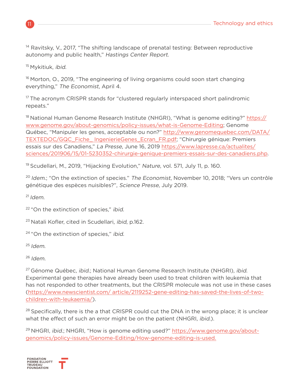<sup>14</sup> Ravitsky, V., 2017, "The shifting landscape of prenatal testing: Between reproductive autonomy and public health," Hastings Center Report.

<sup>15</sup> Mykitiuk, *ibid.* 

 $16$  Morton, O., 2019, "The engineering of living organisms could soon start changing everything," The Economist, April 4.

<sup>17</sup> The acronym CRISPR stands for "clustered regularly interspaced short palindromic repeats."

<sup>18</sup> National Human Genome Research Institute (NHGRI), "What is genome editing?" [https://](https://www.genome.gov/about-genomics/policy-issues/what-is-Genome-Editing) [www.genome.gov/about-genomics/policy-issues/what-is-Genome-Editing](https://www.genome.gov/about-genomics/policy-issues/what-is-Genome-Editing); Genome Québec, "Manipuler les genes, acceptable ou non?" [http://www.genomequebec.com/DATA/](http://www.genomequebec.com/DATA/TEXTEDOC/GQC_Fiche_ IngenierieGenes_Ecran_FR.pdf) [TEXTEDOC/GQC\\_Fiche\\_ IngenierieGenes\\_Ecran\\_FR.pdf](http://www.genomequebec.com/DATA/TEXTEDOC/GQC_Fiche_ IngenierieGenes_Ecran_FR.pdf); "Chirurgie génique: Premiers essais sur des Canadiens," La Presse, June 16, 2019 [https://www.lapresse.ca/actualites/](https://www.lapresse.ca/actualites/sciences/201906/15/01-5230352-chirurgie-genique-premiers-essais-s) [sciences/201906/15/01-5230352-chirurgie-genique-premiers-essais-sur-des-canadiens.php](https://www.lapresse.ca/actualites/sciences/201906/15/01-5230352-chirurgie-genique-premiers-essais-s).

<sup>19</sup> Scudellari, M., 2019, "Hijacking Evolution," Nature, vol. 571, July 11, p. 160.

 $20$  Idem.; "On the extinction of species." The Economist, November 10, 2018; "Vers un contrôle génétique des espèces nuisibles?", Science Presse, July 2019.

 $^{21}$ Idem

<sup>22</sup> "On the extinction of species," ibid.

<sup>23</sup> Natali Kofler, cited in Scudellari, *ibid*, p.162.

<sup>24</sup> "On the extinction of species," ibid.

 $25$  Idem.

 $26$ Idem.

<sup>27</sup> Génome Québec, *ibid.*; National Human Genome Research Institute (NHGRI), *ibid.* Experimental gene therapies have already been used to treat children with leukemia that has not responded to other treatments, but the CRISPR molecule was not use in these cases ([https://www.newscientist.com/ article/2119252-gene-editing-has-saved-the-lives-of-two](https://www.newscientist.com/ article/2119252-gene-editing-has-saved-the-lives-of-two-children-with-)[children-with-leukaemia/](https://www.newscientist.com/ article/2119252-gene-editing-has-saved-the-lives-of-two-children-with-)).

<sup>28</sup> Specifically, there is the a that CRISPR could cut the DNA in the wrong place; it is unclear what the effect of such an error might be on the patient (NHGRI, *ibid.*).

<sup>29</sup> NHGRI, *ibid.*; NHGRI, "How is genome editing used?" [https://www.genome.gov/about](https://www.genome.gov/about-genomics/policy-issues/Genome-Editing/How-genome-editing-is-used. )[genomics/policy-issues/Genome-Editing/How-genome-editing-is-used.](https://www.genome.gov/about-genomics/policy-issues/Genome-Editing/How-genome-editing-is-used. )

**FONDATION<br>PIERRE ELLIOTT<br>TRUDEAU<br>FOUNDATION**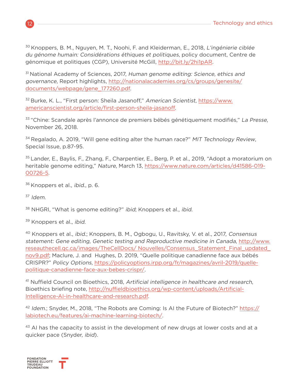<sup>30</sup> Knoppers, B. M., Nguyen, M. T., Noohi, F. and Kleiderman, E., 2018, L'ingénierie ciblée du génome humain: Considérations éthiques et politiques, policy document, Centre de génomique et politiques (CGP), Université McGill, <http://bit.ly/2hi1pAR>.

<sup>31</sup> National Academy of Sciences, 2017, Human genome editing: Science, ethics and governance, Report highlights, [http://nationalacademies.org/cs/groups/genesite/](http://nationalacademies.org/cs/groups/genesite/documents/webpage/gene_177260.pdf) [documents/webpage/gene\\_177260.pdf](http://nationalacademies.org/cs/groups/genesite/documents/webpage/gene_177260.pdf).

<sup>32</sup> Burke, K. L., "First person: Sheila Jasanoff," American Scientist, [https://www.](https://www.americanscientist.org/article/first-person-sheila-jasanoff) [americanscientist.org/article/first-person-sheila-jasanoff](https://www.americanscientist.org/article/first-person-sheila-jasanoff).

<sup>33</sup> "Chine: Scandale après l'annonce de premiers bébés génétiquement modifiés," La Presse, November 26, 2018.

 $34}$  Regalado, A. 2019, "Will gene editing alter the human race?" MIT Technology Review, Special Issue, p.87-95.

35 Lander, E., Baylis, F., Zhang, F., Charpentier, E., Berg, P. et al., 2019, "Adopt a moratorium on heritable genome editing," Nature, March 13, [https://www.nature.com/articles/d41586-019-](https://www.nature.com/articles/d41586-019-00726-5) [00726-5](https://www.nature.com/articles/d41586-019-00726-5).

<sup>36</sup> Knoppers et al., *ibid.*, p. 6.

<sup>37</sup> Idem.

38 NHGRI, "What is genome editing?" ibid; Knoppers et al., ibid.

<sup>39</sup> Knoppers et al., *ibid.* 

<sup>40</sup> Knoppers et al., ibid.; Knoppers, B. M., Ogbogu, U., Ravitsky, V. et al., 2017, Consensus statement: Gene editing, Genetic testing and Reproductive medicine in Canada, [http://www.](http://www.reseauthecell.qc.ca/images/TheCellDocs/ Nouvelles/Consensus_Statement_Final_updated_nov9.) [reseauthecell.qc.ca/images/TheCellDocs/ Nouvelles/Consensus\\_Statement\\_Final\\_updated\\_](http://www.reseauthecell.qc.ca/images/TheCellDocs/ Nouvelles/Consensus_Statement_Final_updated_nov9.) [nov9.pdf](http://www.reseauthecell.qc.ca/images/TheCellDocs/ Nouvelles/Consensus_Statement_Final_updated_nov9.); Maclure, J. and Hughes, D. 2019, "Quelle politique canadienne face aux bébés CRISPR?" Policy Options, [https://policyoptions.irpp.org/fr/magazines/avril-2019/quelle](https://policyoptions.irpp.org/fr/magazines/avril-2019/quelle-politique-canadienne-face-aux-bebes-cr)[politique-canadienne-face-aux-bebes-crispr/](https://policyoptions.irpp.org/fr/magazines/avril-2019/quelle-politique-canadienne-face-aux-bebes-cr).

<sup>41</sup> Nuffield Council on Bioethics, 2018, Artificial intelligence in healthcare and research, Bioethics briefing note, [http://nuffieldbioethics.org/wp-content/uploads/Artificial-](http://nuffieldbioethics.org/wp-content/uploads/Artificial-Intelligence-AI-in-healthcare-and-researc)[Intelligence-AI-in-healthcare-and-research.pdf](http://nuffieldbioethics.org/wp-content/uploads/Artificial-Intelligence-AI-in-healthcare-and-researc).

<sup>42</sup> Idem.; Snyder, M., 2018, "The Robots are Coming: Is AI the Future of Biotech?" [https://](https://labiotech.eu/features/ai-machine-learning-biotech/) [labiotech.eu/features/ai-machine-learning-biotech/](https://labiotech.eu/features/ai-machine-learning-biotech/).

<sup>43</sup> AI has the capacity to assist in the development of new drugs at lower costs and at a quicker pace (Snyder, ibid).

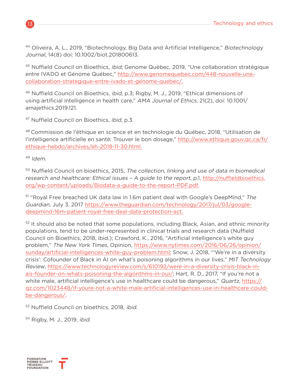<sup>44</sup> Oliveira, A. L., 2019, "Biotechnology, Big Data and Artificial Intelligence," Biotechnology Journal, 14(8) doi: 10.1002/biot.201800613.

<sup>45</sup> Nuffield Council on Bioethics, *ibid*; Genome Québec, 2019, "Une collaboration stratégique entre IVADO et Génome Québec," [http://www.genomequebec.com/448-nouvelle-une](http://www.genomequebec.com/448-nouvelle-une-collaboration-strategique-entre-ivado-et-genome-quebec/)[collaboration-strategique-entre-ivado-et-genome-quebec/.](http://www.genomequebec.com/448-nouvelle-une-collaboration-strategique-entre-ivado-et-genome-quebec/)

<sup>46</sup> Nuffield Council on Bioethics, *ibid*, p.3; Rigby, M. J., 2019, "Ethical dimensions of using artificial intelligence in health care," AMA Journal of Ethics, 21(2), doi: 10.1001/ amajethics.2019.121.

<sup>47</sup> Nuffield Council on Bioethics, ibid, p.3.

48 Commission de l'éthique en science et en technologie du Québec, 2018, "Utilisation de l'intelligence artificielle en santé: Trouver le bon dosage," [http://www.ethique.gouv.qc.ca/fr/](http://www.ethique.gouv.qc.ca/fr/ethique-hebdo/archives/eh-2018-11-30.html.) [ethique-hebdo/archives/eh-2018-11-30.html.](http://www.ethique.gouv.qc.ca/fr/ethique-hebdo/archives/eh-2018-11-30.html.)

<sup>49</sup> Idem.

<sup>50</sup> Nuffield Council on bioethics, 2015, The collection, linking and use of data in biomedical research and healthcare: Ethical issues – A guide to the report, p.1, [http://nuffieldbioethics.](http://nuffieldbioethics.org/wp-content/uploads/Biodata-a-guide-to-the-report-PDF.pdf.) [org/wp-content/uploads/Biodata-a-guide-to-the-report-PDF.pdf.](http://nuffieldbioethics.org/wp-content/uploads/Biodata-a-guide-to-the-report-PDF.pdf.)

<sup>51</sup> "Royal Free breached UK data law in 1.6m patient deal with Google's DeepMind," The Guardian, July 3, 2017 [https://www.theguardian.com/technology/2017/jul/03/google](https://www.theguardian.com/technology/2017/jul/03/google-deepmind-16m-patient-royal-free-deal-data-)[deepmind-16m-patient-royal-free-deal-data-protection-act.](https://www.theguardian.com/technology/2017/jul/03/google-deepmind-16m-patient-royal-free-deal-data-)

 $52$  It should also be noted that some populations, including Black, Asian, and ethnic minority populations, tend to be under-represented in clinical trials and research data (Nuffield Council on Bioethics, 2018, ibid.); Crawford, K., 2016, "Artificial intelligence's white guy problem," The New York Times, Opinion, [https://www.nytimes.com/2016/06/26/opinion/](https://www.nytimes.com/2016/06/26/opinion/sunday/artificial-intelligences-white-guy-problem.html;) [sunday/artificial-intelligences-white-guy-problem.html;](https://www.nytimes.com/2016/06/26/opinion/sunday/artificial-intelligences-white-guy-problem.html;) Snow, J. 2018, "'We're in a diversity crisis': Cofounder of Black in AI on what's poisoning algorithms in our lives," MIT Technology Review, [https://www.technologyreview.com/s/610192/were-in-a-diversity-crisis-black-in](https://www.technologyreview.com/s/610192/were-in-a-diversity-crisis-black-in-ais-founder-on-whats-p)[ais-founder-on-whats-poisoning-the-algorithms-in-our/](https://www.technologyreview.com/s/610192/were-in-a-diversity-crisis-black-in-ais-founder-on-whats-p); Hart, R. D., 2017, "If you're not a white male, artificial intelligence's use in healthcare could be dangerous," Quartz, [https://](https://qz.com/1023448/if-youre-not-a-white-male-artificial-intelligences-use-in-healthcare-could-be) [qz.com/1023448/if-youre-not-a-white-male-artificial-intelligences-use-in-healthcare-could](https://qz.com/1023448/if-youre-not-a-white-male-artificial-intelligences-use-in-healthcare-could-be)[be-dangerous/](https://qz.com/1023448/if-youre-not-a-white-male-artificial-intelligences-use-in-healthcare-could-be).

53 Nuffield Council on bioethics, 2018, ibid.

<sup>54</sup> Rigby, M. J., 2019, ibid.

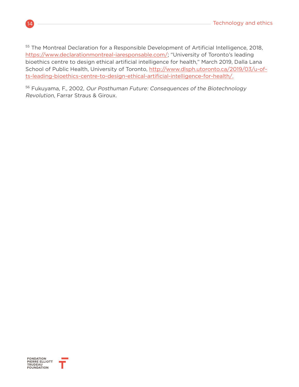<sup>55</sup> The Montreal Declaration for a Responsible Development of Artificial Intelligence, 2018, <https://www.declarationmontreal-iaresponsable.com/>; "University of Toronto's leading bioethics centre to design ethical artificial intelligence for health," March 2019, Dalla Lana School of Public Health, University of Toronto, [http://www.dlsph.utoronto.ca/2019/03/u-of](http://www.dlsph.utoronto.ca/2019/03/u-of-ts-leading-bioethics-centre-to-design-ethical-artificial-i)[ts-leading-bioethics-centre-to-design-ethical-artificial-intelligence-for-health/.](http://www.dlsph.utoronto.ca/2019/03/u-of-ts-leading-bioethics-centre-to-design-ethical-artificial-i)

<sup>56</sup> Fukuyama, F., 2002, Our Posthuman Future: Consequences of the Biotechnology Revolution, Farrar Straus & Giroux.

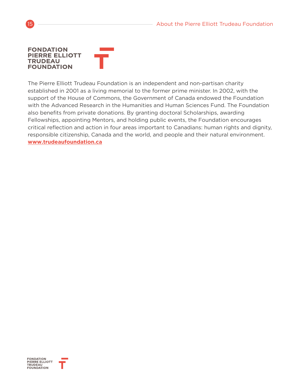#### **FONDATION PIERRE ELLIOTT TRUDEAU FOUNDATION**

The Pierre Elliott Trudeau Foundation is an independent and non-partisan charity established in 2001 as a living memorial to the former prime minister. In 2002, with the support of the House of Commons, the Government of Canada endowed the Foundation with the Advanced Research in the Humanities and Human Sciences Fund. The Foundation also benefits from private donations. By granting doctoral Scholarships, awarding Fellowships, appointing Mentors, and holding public events, the Foundation encourages critical reflection and action in four areas important to Canadians: human rights and dignity, responsible citizenship, Canada and the world, and people and their natural environment. **www.trudeaufoundation.ca**